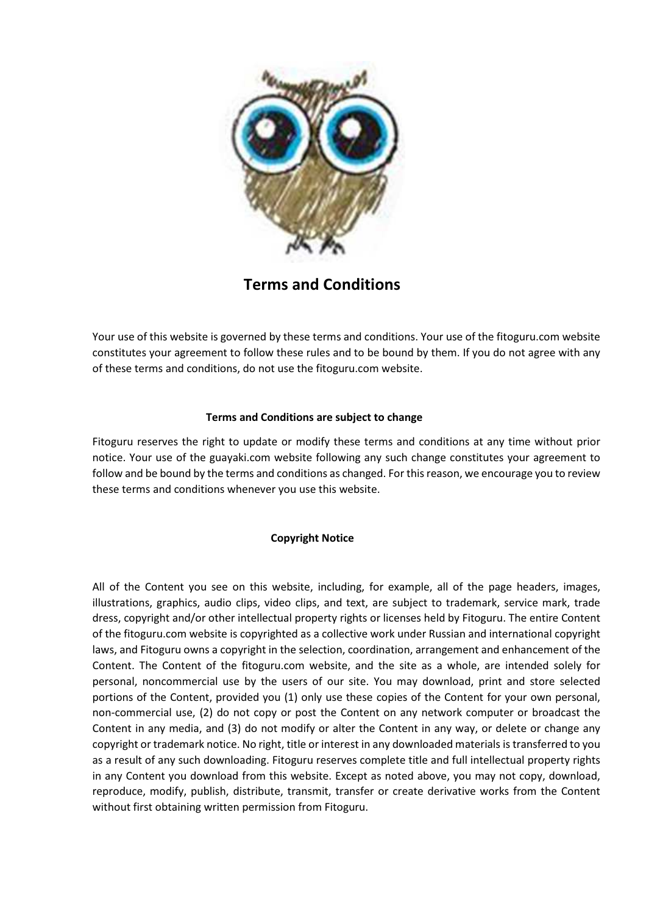

Terms and Conditions

Your use of this website is governed by these terms and conditions. Your use of the fitoguru.com website constitutes your agreement to follow these rules and to be bound by them. If you do not agree with any of these terms and conditions, do not use the fitoguru.com website.

## Terms and Conditions are subject to change

Fitoguru reserves the right to update or modify these terms and conditions at any time without prior notice. Your use of the guayaki.com website following any such change constitutes your agreement to follow and be bound by the terms and conditions as changed. For this reason, we encourage you to review these terms and conditions whenever you use this website.

## Copyright Notice

All of the Content you see on this website, including, for example, all of the page headers, images, illustrations, graphics, audio clips, video clips, and text, are subject to trademark, service mark, trade dress, copyright and/or other intellectual property rights or licenses held by Fitoguru. The entire Content of the fitoguru.com website is copyrighted as a collective work under Russian and international copyright laws, and Fitoguru owns a copyright in the selection, coordination, arrangement and enhancement of the Content. The Content of the fitoguru.com website, and the site as a whole, are intended solely for personal, noncommercial use by the users of our site. You may download, print and store selected portions of the Content, provided you (1) only use these copies of the Content for your own personal, non-commercial use, (2) do not copy or post the Content on any network computer or broadcast the Content in any media, and (3) do not modify or alter the Content in any way, or delete or change any copyright or trademark notice. No right, title or interest in any downloaded materials is transferred to you as a result of any such downloading. Fitoguru reserves complete title and full intellectual property rights in any Content you download from this website. Except as noted above, you may not copy, download, reproduce, modify, publish, distribute, transmit, transfer or create derivative works from the Content without first obtaining written permission from Fitoguru.